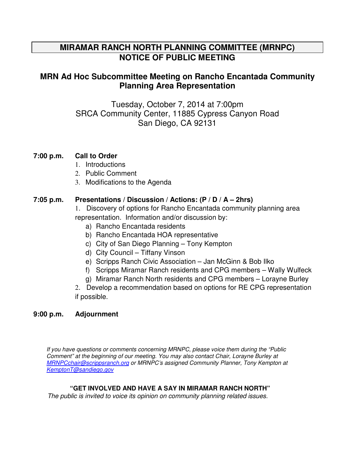## **MIRAMAR RANCH NORTH PLANNING COMMITTEE (MRNPC) NOTICE OF PUBLIC MEETING**

## **MRN Ad Hoc Subcommittee Meeting on Rancho Encantada Community Planning Area Representation**

Tuesday, October 7, 2014 at 7:00pm SRCA Community Center, 11885 Cypress Canyon Road San Diego, CA 92131

### **7:00 p.m. Call to Order**

- 1. Introductions
- 2. Public Comment
- 3. Modifications to the Agenda

### **7:05 p.m. Presentations / Discussion / Actions: (P / D / A – 2hrs)**

1.Discovery of options for Rancho Encantada community planning area representation. Information and/or discussion by:

- a) Rancho Encantada residents
- b) Rancho Encantada HOA representative
- c) City of San Diego Planning Tony Kempton
- d) City Council Tiffany Vinson
- e) Scripps Ranch Civic Association Jan McGinn & Bob Ilko
- f) Scripps Miramar Ranch residents and CPG members Wally Wulfeck
- g) Miramar Ranch North residents and CPG members Lorayne Burley

2. Develop a recommendation based on options for RE CPG representation if possible.

### **9:00 p.m. Adjournment**

If you have questions or comments concerning MRNPC, please voice them during the "Public Comment" at the beginning of our meeting. You may also contact Chair, Lorayne Burley at MRNPCchair@scrippsranch.org or MRNPC's assigned Community Planner, Tony Kempton at KemptonT@sandiego.gov

#### **"GET INVOLVED AND HAVE A SAY IN MIRAMAR RANCH NORTH"**

The public is invited to voice its opinion on community planning related issues.